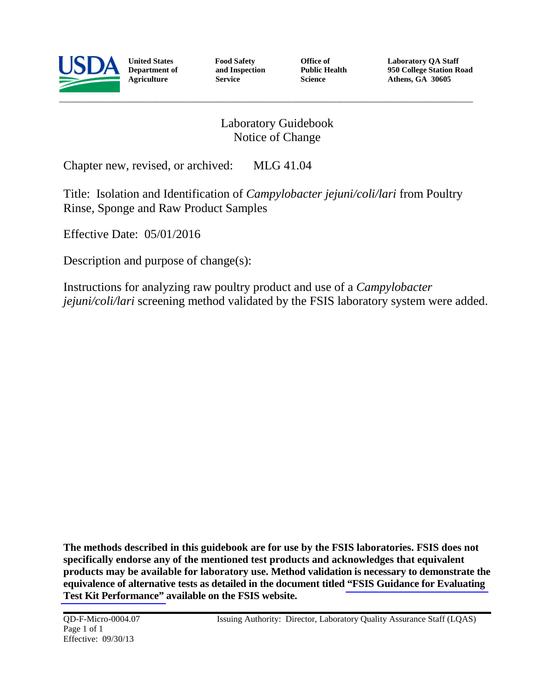

**United States Department of Agriculture**

 **Food Safety and Inspection Service**

 **Office of Public Health Science**

**Laboratory QA Staff 950 College Station Road Athens, GA 30605**

# Laboratory Guidebook Notice of Change

Chapter new, revised, or archived: MLG 41.04

Title: Isolation and Identification of *Campylobacter jejuni/coli/lari* from Poultry Rinse, Sponge and Raw Product Samples

Effective Date: 05/01/2016

Description and purpose of change(s):

Instructions for analyzing raw poultry product and use of a *Campylobacter jejuni/coli/lari* screening method validated by the FSIS laboratory system were added.

**The methods described in this guidebook are for use by the FSIS laboratories. FSIS does not specifically endorse any of the mentioned test products and acknowledges that equivalent products may be available for laboratory use. Method validation is necessary to demonstrate the equivalence of alternative tests as detailed in the document titled ["FSIS Guidance for Evaluating](http://www.fsis.usda.gov/wps/wcm/connect/966638c7-1931-471f-a79e-4155ce461d65/Validation_Studies_Pathogen_Detection_Methods.pdf?MOD=AJPERES)  [Test Kit Performance"](http://www.fsis.usda.gov/wps/wcm/connect/966638c7-1931-471f-a79e-4155ce461d65/Validation_Studies_Pathogen_Detection_Methods.pdf?MOD=AJPERES) available on the FSIS website.**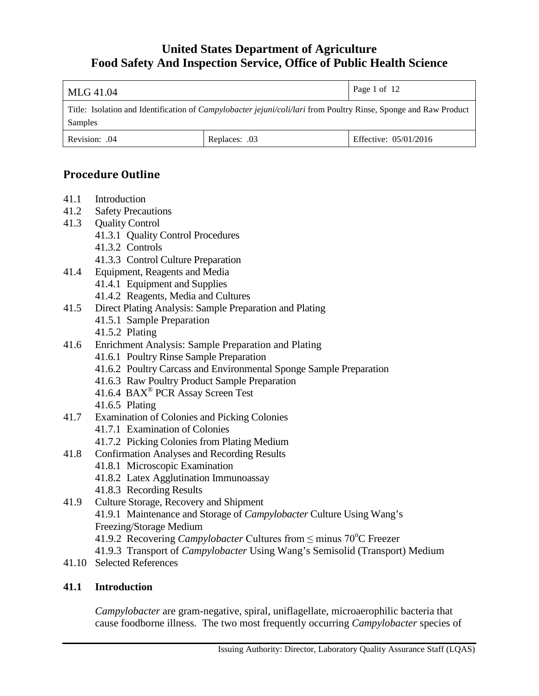| MLG 41.04                                                                                                                          |               | Page 1 of 12          |
|------------------------------------------------------------------------------------------------------------------------------------|---------------|-----------------------|
| Title: Isolation and Identification of <i>Campylobacter jejuni/coli/lari</i> from Poultry Rinse, Sponge and Raw Product<br>Samples |               |                       |
| Revision: .04                                                                                                                      | Replaces: .03 | Effective: 05/01/2016 |

# **Procedure Outline**

- 41.1 Introduction
- 41.2 Safety Precautions
- 41.3 Quality Control
	- 41.3.1 Quality Control Procedures
	- 41.3.2 Controls
	- 41.3.3 Control Culture Preparation
- 41.4 Equipment, Reagents and Media
	- 41.4.1 Equipment and Supplies
	- 41.4.2 Reagents, Media and Cultures
- 41.5 Direct Plating Analysis: Sample Preparation and Plating
	- 41.5.1 Sample Preparation
	- 41.5.2 Plating
- 41.6 Enrichment Analysis: Sample Preparation and Plating
	- 41.6.1 Poultry Rinse Sample Preparation
		- 41.6.2 Poultry Carcass and Environmental Sponge Sample Preparation
		- 41.6.3 Raw Poultry Product Sample Preparation
		- 41.6.4 BAX® PCR Assay Screen Test
		- 41.6.5 Plating
- 41.7 Examination of Colonies and Picking Colonies
	- 41.7.1 Examination of Colonies
	- 41.7.2 Picking Colonies from Plating Medium
- 41.8 Confirmation Analyses and Recording Results
	- 41.8.1 Microscopic Examination
	- 41.8.2 Latex Agglutination Immunoassay
	- 41.8.3 Recording Results
- 41.9 Culture Storage, Recovery and Shipment 41.9.1 Maintenance and Storage of *Campylobacter* Culture Using Wang's Freezing/Storage Medium
	- 41.9.2 Recovering *Campylobacter* Cultures from ≤ minus 70°C Freezer
	- 41.9.3 Transport of *Campylobacter* Using Wang's Semisolid (Transport) Medium
- 41.10 Selected References

# **41.1 Introduction**

*Campylobacter* are gram-negative, spiral, uniflagellate, microaerophilic bacteria that cause foodborne illness. The two most frequently occurring *Campylobacter* species of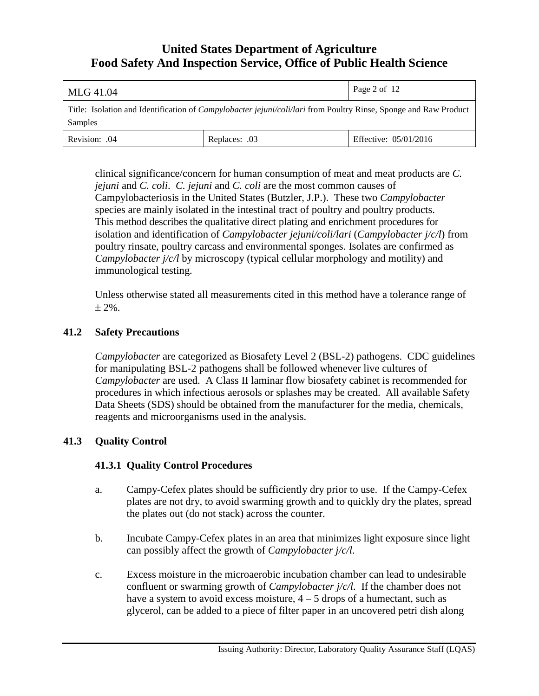| MLG 41.04                                                                                                                          |               | Page 2 of 12          |
|------------------------------------------------------------------------------------------------------------------------------------|---------------|-----------------------|
| Title: Isolation and Identification of <i>Campylobacter jejuni/coli/lari</i> from Poultry Rinse, Sponge and Raw Product<br>Samples |               |                       |
| Revision: .04                                                                                                                      | Replaces: .03 | Effective: 05/01/2016 |

clinical significance/concern for human consumption of meat and meat products are *C. jejuni* and *C. coli*. *C. jejuni* and *C. coli* are the most common causes of Campylobacteriosis in the United States (Butzler, J.P.). These two *Campylobacter* species are mainly isolated in the intestinal tract of poultry and poultry products. This method describes the qualitative direct plating and enrichment procedures for isolation and identification of *Campylobacter jejuni/coli/lari* (*Campylobacter j/c/l*) from poultry rinsate, poultry carcass and environmental sponges. Isolates are confirmed as *Campylobacter j/c/l* by microscopy (typical cellular morphology and motility) and immunological testing.

Unless otherwise stated all measurements cited in this method have a tolerance range of  $± 2\%$ .

## **41.2 Safety Precautions**

*Campylobacter* are categorized as Biosafety Level 2 (BSL-2) pathogens. CDC guidelines for manipulating BSL-2 pathogens shall be followed whenever live cultures of *Campylobacter* are used. A Class II laminar flow biosafety cabinet is recommended for procedures in which infectious aerosols or splashes may be created. All available Safety Data Sheets (SDS) should be obtained from the manufacturer for the media, chemicals, reagents and microorganisms used in the analysis.

## **41.3 Quality Control**

## **41.3.1 Quality Control Procedures**

- a. Campy-Cefex plates should be sufficiently dry prior to use. If the Campy-Cefex plates are not dry, to avoid swarming growth and to quickly dry the plates, spread the plates out (do not stack) across the counter.
- b. Incubate Campy-Cefex plates in an area that minimizes light exposure since light can possibly affect the growth of *Campylobacter j/c/l*.
- c. Excess moisture in the microaerobic incubation chamber can lead to undesirable confluent or swarming growth of *Campylobacter j/c/l*. If the chamber does not have a system to avoid excess moisture,  $4 - 5$  drops of a humectant, such as glycerol, can be added to a piece of filter paper in an uncovered petri dish along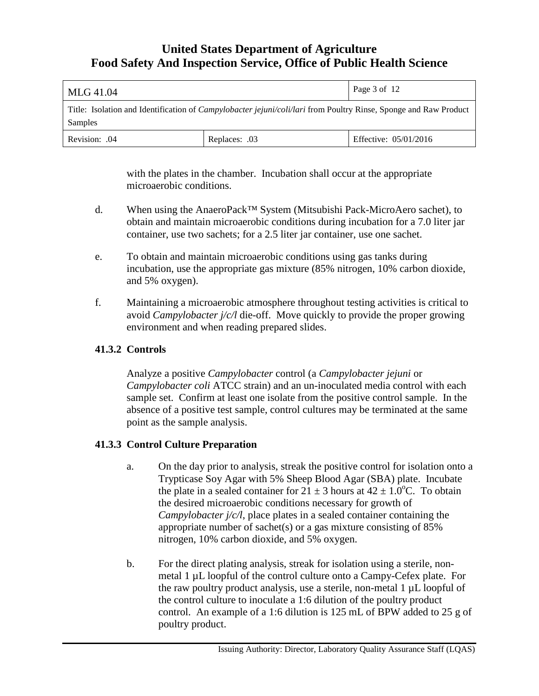| MLG 41.04                                                                                                                          |               | Page 3 of 12          |
|------------------------------------------------------------------------------------------------------------------------------------|---------------|-----------------------|
| Title: Isolation and Identification of <i>Campylobacter jejuni/coli/lari</i> from Poultry Rinse, Sponge and Raw Product<br>Samples |               |                       |
| Revision: .04                                                                                                                      | Replaces: .03 | Effective: 05/01/2016 |

with the plates in the chamber. Incubation shall occur at the appropriate microaerobic conditions.

- d. When using the AnaeroPack™ System (Mitsubishi Pack-MicroAero sachet), to obtain and maintain microaerobic conditions during incubation for a 7.0 liter jar container, use two sachets; for a 2.5 liter jar container, use one sachet.
- e. To obtain and maintain microaerobic conditions using gas tanks during incubation, use the appropriate gas mixture (85% nitrogen, 10% carbon dioxide, and 5% oxygen).
- f. Maintaining a microaerobic atmosphere throughout testing activities is critical to avoid *Campylobacter j/c/l* die-off. Move quickly to provide the proper growing environment and when reading prepared slides.

## **41.3.2 Controls**

Analyze a positive *Campylobacter* control (a *Campylobacter jejuni* or *Campylobacter coli* ATCC strain) and an un-inoculated media control with each sample set. Confirm at least one isolate from the positive control sample. In the absence of a positive test sample, control cultures may be terminated at the same point as the sample analysis.

## **41.3.3 Control Culture Preparation**

- a. On the day prior to analysis, streak the positive control for isolation onto a Trypticase Soy Agar with 5% Sheep Blood Agar (SBA) plate. Incubate the plate in a sealed container for  $21 \pm 3$  hours at  $42 \pm 1.0^{\circ}$ C. To obtain the desired microaerobic conditions necessary for growth of *Campylobacter j/c/l*, place plates in a sealed container containing the appropriate number of sachet(s) or a gas mixture consisting of 85% nitrogen, 10% carbon dioxide, and 5% oxygen.
- b. For the direct plating analysis, streak for isolation using a sterile, nonmetal 1 µL loopful of the control culture onto a Campy-Cefex plate. For the raw poultry product analysis, use a sterile, non-metal  $1 \mu L$  loopful of the control culture to inoculate a 1:6 dilution of the poultry product control. An example of a 1:6 dilution is 125 mL of BPW added to 25 g of poultry product.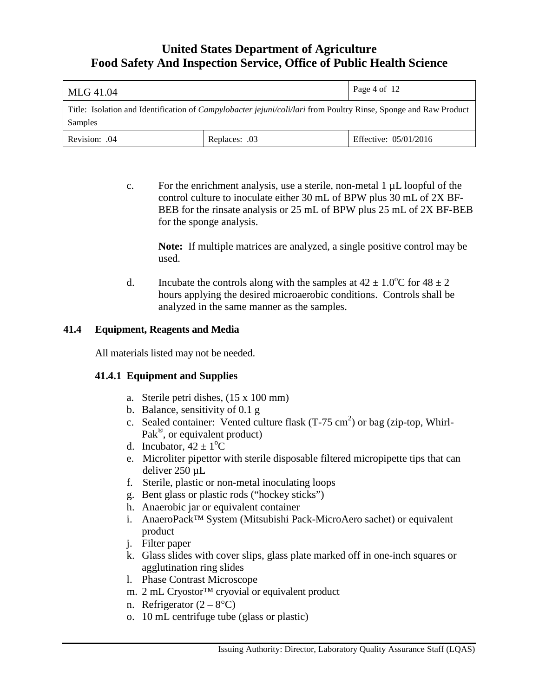| MLG 41.04                                                                                                                          |               | Page 4 of 12          |
|------------------------------------------------------------------------------------------------------------------------------------|---------------|-----------------------|
| Title: Isolation and Identification of <i>Campylobacter jejuni/coli/lari</i> from Poultry Rinse, Sponge and Raw Product<br>Samples |               |                       |
| Revision: .04                                                                                                                      | Replaces: .03 | Effective: 05/01/2016 |

c. For the enrichment analysis, use a sterile, non-metal  $1 \mu L$  loopful of the control culture to inoculate either 30 mL of BPW plus 30 mL of 2X BF-BEB for the rinsate analysis or 25 mL of BPW plus 25 mL of 2X BF-BEB for the sponge analysis.

**Note:** If multiple matrices are analyzed, a single positive control may be used.

d. Incubate the controls along with the samples at  $42 \pm 1.0^{\circ}$ C for  $48 \pm 2$ hours applying the desired microaerobic conditions. Controls shall be analyzed in the same manner as the samples.

## **41.4 Equipment, Reagents and Media**

All materials listed may not be needed.

## **41.4.1 Equipment and Supplies**

- a. Sterile petri dishes, (15 x 100 mm)
- b. Balance, sensitivity of 0.1 g
- c. Sealed container: Vented culture flask  $(T-75 \text{ cm}^2)$  or bag (zip-top, Whirl-Pak<sup>®</sup>, or equivalent product)
- d. Incubator,  $42 \pm 1$ <sup>o</sup>C
	- e. Microliter pipettor with sterile disposable filtered micropipette tips that can deliver 250 µL
	- f. Sterile, plastic or non-metal inoculating loops
	- g. Bent glass or plastic rods ("hockey sticks")
	- h. Anaerobic jar or equivalent container
	- i. AnaeroPack™ System (Mitsubishi Pack-MicroAero sachet) or equivalent product
	- j. Filter paper
	- k. Glass slides with cover slips, glass plate marked off in one-inch squares or agglutination ring slides
	- l. Phase Contrast Microscope
	- m. 2 mL Cryostor™ cryovial or equivalent product
	- n. Refrigerator  $(2 8$ °C)
	- o. 10 mL centrifuge tube (glass or plastic)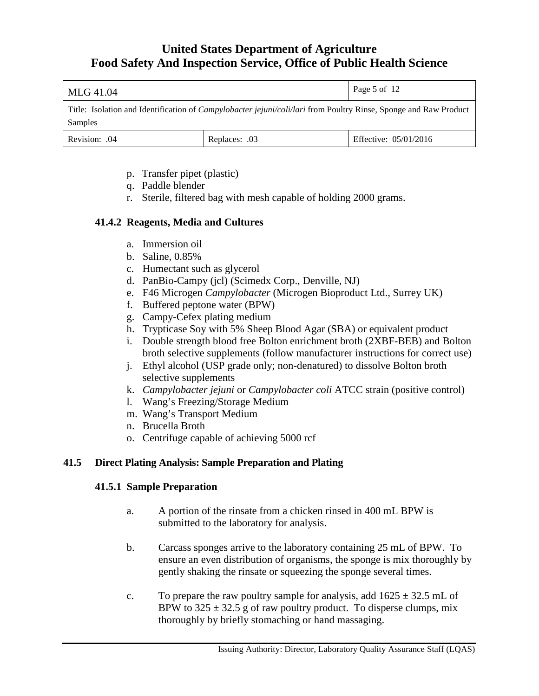| MLG 41.04                                                                                                                          |               | Page 5 of 12          |
|------------------------------------------------------------------------------------------------------------------------------------|---------------|-----------------------|
| Title: Isolation and Identification of <i>Campylobacter jejuni/coli/lari</i> from Poultry Rinse, Sponge and Raw Product<br>Samples |               |                       |
| Revision: .04                                                                                                                      | Replaces: .03 | Effective: 05/01/2016 |

- p. Transfer pipet (plastic)
- q. Paddle blender
- r. Sterile, filtered bag with mesh capable of holding 2000 grams.

#### **41.4.2 Reagents, Media and Cultures**

- a. Immersion oil
- b. Saline, 0.85%
- c. Humectant such as glycerol
- d. PanBio-Campy (jcl) (Scimedx Corp., Denville, NJ)
- e. F46 Microgen *Campylobacter* (Microgen Bioproduct Ltd., Surrey UK)
- f. Buffered peptone water (BPW)
- g. Campy-Cefex plating medium
- h. Trypticase Soy with 5% Sheep Blood Agar (SBA) or equivalent product
- i. Double strength blood free Bolton enrichment broth (2XBF-BEB) and Bolton broth selective supplements (follow manufacturer instructions for correct use)
- j. Ethyl alcohol (USP grade only; non-denatured) to dissolve Bolton broth selective supplements
- k. *Campylobacter jejuni* or *Campylobacter coli* ATCC strain (positive control)
- l. Wang's Freezing/Storage Medium
- m. Wang's Transport Medium
- n. Brucella Broth
- o. Centrifuge capable of achieving 5000 rcf

#### **41.5 Direct Plating Analysis: Sample Preparation and Plating**

#### **41.5.1 Sample Preparation**

- a. A portion of the rinsate from a chicken rinsed in 400 mL BPW is submitted to the laboratory for analysis.
- b. Carcass sponges arrive to the laboratory containing 25 mL of BPW. To ensure an even distribution of organisms, the sponge is mix thoroughly by gently shaking the rinsate or squeezing the sponge several times.
- c. To prepare the raw poultry sample for analysis, add  $1625 \pm 32.5$  mL of BPW to  $325 \pm 32.5$  g of raw poultry product. To disperse clumps, mix thoroughly by briefly stomaching or hand massaging.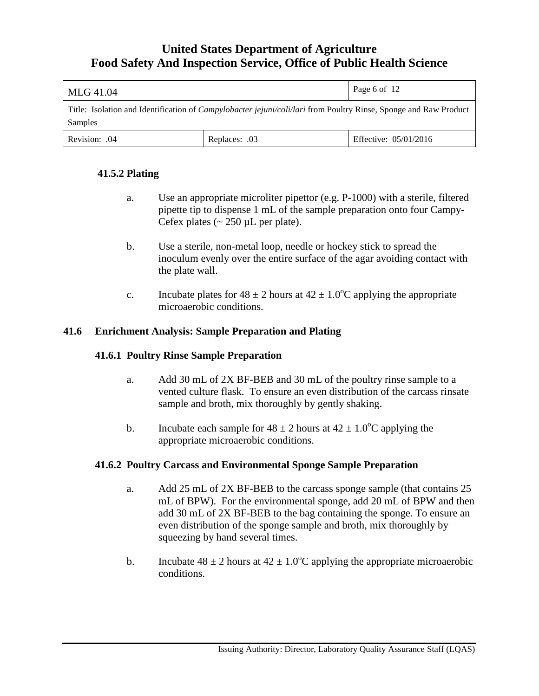| MLG 41.04                                                                                                                          |               | Page 6 of 12          |
|------------------------------------------------------------------------------------------------------------------------------------|---------------|-----------------------|
| Title: Isolation and Identification of <i>Campylobacter jejuni/coli/lari</i> from Poultry Rinse, Sponge and Raw Product<br>Samples |               |                       |
| Revision: .04                                                                                                                      | Replaces: .03 | Effective: 05/01/2016 |

# **41.5.2 Plating**

- a. Use an appropriate microliter pipettor (e.g. P-1000) with a sterile, filtered pipette tip to dispense 1 mL of the sample preparation onto four Campy-Cefex plates  $\left(\sim 250 \,\mu L \text{ per plate}\right)$ .
- b. Use a sterile, non-metal loop, needle or hockey stick to spread the inoculum evenly over the entire surface of the agar avoiding contact with the plate wall.
- c. Incubate plates for  $48 \pm 2$  hours at  $42 \pm 1.0^{\circ}$ C applying the appropriate microaerobic conditions.

## **41.6 Enrichment Analysis: Sample Preparation and Plating**

## **41.6.1 Poultry Rinse Sample Preparation**

- a. Add 30 mL of 2X BF-BEB and 30 mL of the poultry rinse sample to a vented culture flask. To ensure an even distribution of the carcass rinsate sample and broth, mix thoroughly by gently shaking.
- b. Incubate each sample for  $48 \pm 2$  hours at  $42 \pm 1.0^{\circ}$ C applying the appropriate microaerobic conditions.

## **41.6.2 Poultry Carcass and Environmental Sponge Sample Preparation**

- a. Add 25 mL of 2X BF-BEB to the carcass sponge sample (that contains 25 mL of BPW). For the environmental sponge, add 20 mL of BPW and then add 30 mL of 2X BF-BEB to the bag containing the sponge. To ensure an even distribution of the sponge sample and broth, mix thoroughly by squeezing by hand several times.
- b. Incubate  $48 \pm 2$  hours at  $42 \pm 1.0^{\circ}$ C applying the appropriate microaerobic conditions.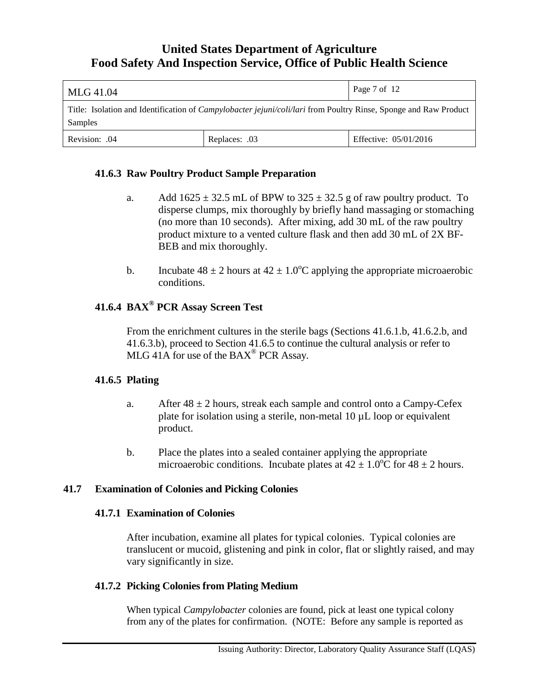| MLG 41.04                                                                                                                          |               | Page 7 of 12          |
|------------------------------------------------------------------------------------------------------------------------------------|---------------|-----------------------|
| Title: Isolation and Identification of <i>Campylobacter jejuni/coli/lari</i> from Poultry Rinse, Sponge and Raw Product<br>Samples |               |                       |
| Revision: .04                                                                                                                      | Replaces: .03 | Effective: 05/01/2016 |

#### **41.6.3 Raw Poultry Product Sample Preparation**

- a. Add  $1625 \pm 32.5$  mL of BPW to  $325 \pm 32.5$  g of raw poultry product. To disperse clumps, mix thoroughly by briefly hand massaging or stomaching (no more than 10 seconds). After mixing, add 30 mL of the raw poultry product mixture to a vented culture flask and then add 30 mL of 2X BF-BEB and mix thoroughly.
- b. Incubate  $48 \pm 2$  hours at  $42 \pm 1.0^{\circ}$ C applying the appropriate microaerobic conditions.

# **41.6.4 BAX® PCR Assay Screen Test**

From the enrichment cultures in the sterile bags (Sections 41.6.1.b, 41.6.2.b, and 41.6.3.b), proceed to Section 41.6.5 to continue the cultural analysis or refer to MLG 41A for use of the BAX® PCR Assay.

#### **41.6.5 Plating**

- a. After  $48 \pm 2$  hours, streak each sample and control onto a Campy-Cefex plate for isolation using a sterile, non-metal 10 µL loop or equivalent product.
- b. Place the plates into a sealed container applying the appropriate microaerobic conditions. Incubate plates at  $42 \pm 1.0\degree$ C for  $48 \pm 2$  hours.

#### **41.7 Examination of Colonies and Picking Colonies**

#### **41.7.1 Examination of Colonies**

After incubation, examine all plates for typical colonies. Typical colonies are translucent or mucoid, glistening and pink in color, flat or slightly raised, and may vary significantly in size.

#### **41.7.2 Picking Colonies from Plating Medium**

When typical *Campylobacter* colonies are found, pick at least one typical colony from any of the plates for confirmation. (NOTE: Before any sample is reported as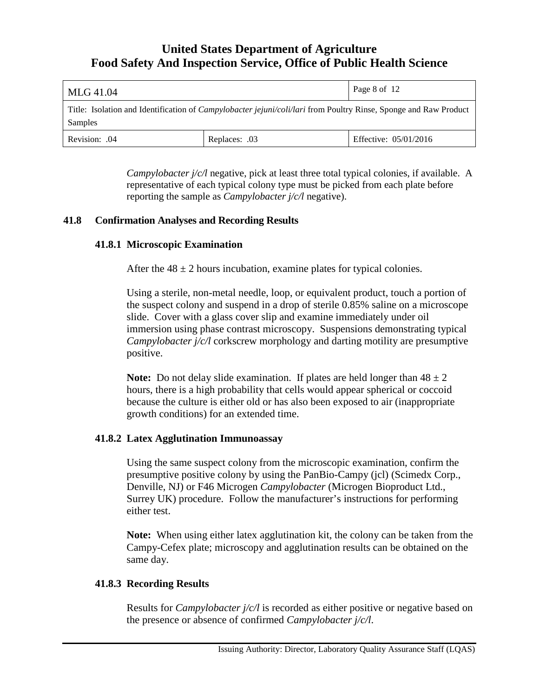| MLG 41.04                                                                                                                          |               | Page 8 of 12          |
|------------------------------------------------------------------------------------------------------------------------------------|---------------|-----------------------|
| Title: Isolation and Identification of <i>Campylobacter jejuni/coli/lari</i> from Poultry Rinse, Sponge and Raw Product<br>Samples |               |                       |
| Revision: .04                                                                                                                      | Replaces: .03 | Effective: 05/01/2016 |

*Campylobacter j/c/l* negative, pick at least three total typical colonies, if available. A representative of each typical colony type must be picked from each plate before reporting the sample as *Campylobacter j/c/l* negative).

## **41.8 Confirmation Analyses and Recording Results**

## **41.8.1 Microscopic Examination**

After the  $48 \pm 2$  hours incubation, examine plates for typical colonies.

Using a sterile, non-metal needle, loop, or equivalent product, touch a portion of the suspect colony and suspend in a drop of sterile 0.85% saline on a microscope slide. Cover with a glass cover slip and examine immediately under oil immersion using phase contrast microscopy. Suspensions demonstrating typical *Campylobacter j/c/l* corkscrew morphology and darting motility are presumptive positive.

**Note:** Do not delay slide examination. If plates are held longer than  $48 \pm 2$ hours, there is a high probability that cells would appear spherical or coccoid because the culture is either old or has also been exposed to air (inappropriate growth conditions) for an extended time.

## **41.8.2 Latex Agglutination Immunoassay**

Using the same suspect colony from the microscopic examination, confirm the presumptive positive colony by using the PanBio-Campy (jcl) (Scimedx Corp., Denville, NJ) or F46 Microgen *Campylobacter* (Microgen Bioproduct Ltd., Surrey UK) procedure. Follow the manufacturer's instructions for performing either test.

**Note:** When using either latex agglutination kit, the colony can be taken from the Campy-Cefex plate; microscopy and agglutination results can be obtained on the same day.

## **41.8.3 Recording Results**

Results for *Campylobacter j/c/l* is recorded as either positive or negative based on the presence or absence of confirmed *Campylobacter j/c/l*.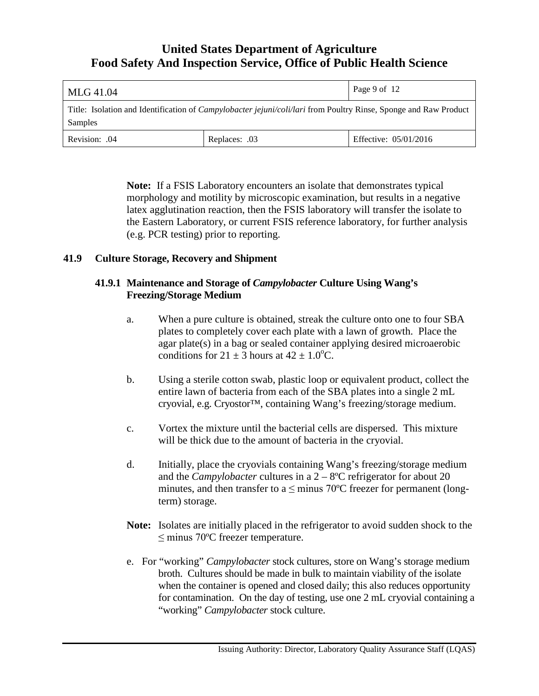| MLG 41.04                                                                                                                          |               | Page 9 of 12          |
|------------------------------------------------------------------------------------------------------------------------------------|---------------|-----------------------|
| Title: Isolation and Identification of <i>Campylobacter jejuni/coli/lari</i> from Poultry Rinse, Sponge and Raw Product<br>Samples |               |                       |
| Revision: .04                                                                                                                      | Replaces: .03 | Effective: 05/01/2016 |

**Note:** If a FSIS Laboratory encounters an isolate that demonstrates typical morphology and motility by microscopic examination, but results in a negative latex agglutination reaction, then the FSIS laboratory will transfer the isolate to the Eastern Laboratory, or current FSIS reference laboratory, for further analysis (e.g. PCR testing) prior to reporting.

## **41.9 Culture Storage, Recovery and Shipment**

### **41.9.1 Maintenance and Storage of** *Campylobacter* **Culture Using Wang's Freezing/Storage Medium**

- a. When a pure culture is obtained, streak the culture onto one to four SBA plates to completely cover each plate with a lawn of growth. Place the agar plate(s) in a bag or sealed container applying desired microaerobic conditions for  $21 \pm 3$  hours at  $42 \pm 1.0$ <sup>o</sup>C.
- b. Using a sterile cotton swab, plastic loop or equivalent product, collect the entire lawn of bacteria from each of the SBA plates into a single 2 mL cryovial, e.g. Cryostor™, containing Wang's freezing/storage medium.
- c. Vortex the mixture until the bacterial cells are dispersed. This mixture will be thick due to the amount of bacteria in the cryovial.
- d. Initially, place the cryovials containing Wang's freezing/storage medium and the *Campylobacter* cultures in a  $2 - 8$ <sup>o</sup>C refrigerator for about 20 minutes, and then transfer to a  $\leq$  minus 70°C freezer for permanent (longterm) storage.
- **Note:** Isolates are initially placed in the refrigerator to avoid sudden shock to the ≤ minus 70ºC freezer temperature.
- e. For "working" *Campylobacter* stock cultures, store on Wang's storage medium broth. Cultures should be made in bulk to maintain viability of the isolate when the container is opened and closed daily; this also reduces opportunity for contamination. On the day of testing, use one 2 mL cryovial containing a "working" *Campylobacter* stock culture.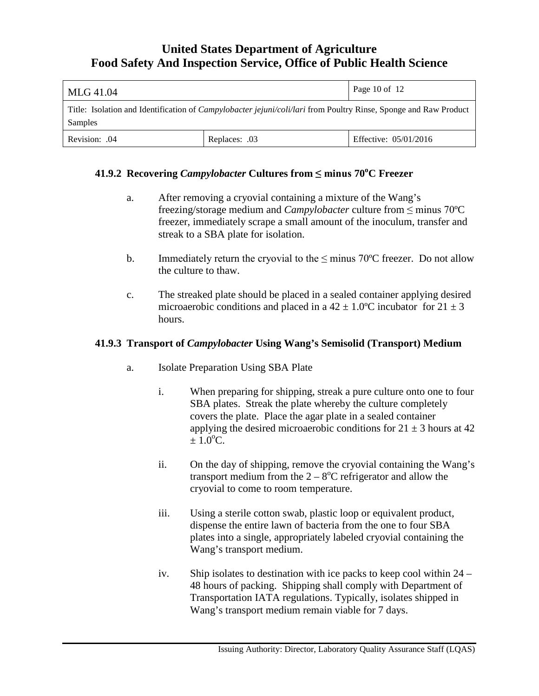| MLG 41.04                                                                                                                          |               | Page 10 of $12$       |
|------------------------------------------------------------------------------------------------------------------------------------|---------------|-----------------------|
| Title: Isolation and Identification of <i>Campylobacter jejuni/coli/lari</i> from Poultry Rinse, Sponge and Raw Product<br>Samples |               |                       |
| Revision: .04                                                                                                                      | Replaces: .03 | Effective: 05/01/2016 |

# **41.9.2 Recovering** *Campylobacter* **Cultures from ≤ minus 70<sup>o</sup> C Freezer**

- a. After removing a cryovial containing a mixture of the Wang's freezing/storage medium and *Campylobacter* culture from ≤ minus 70ºC freezer, immediately scrape a small amount of the inoculum, transfer and streak to a SBA plate for isolation.
- b. Immediately return the cryovial to the  $\leq$  minus 70°C freezer. Do not allow the culture to thaw.
- c. The streaked plate should be placed in a sealed container applying desired microaerobic conditions and placed in a  $42 \pm 1.0^{\circ}$ C incubator for  $21 \pm 3$ hours.

### **41.9.3 Transport of** *Campylobacter* **Using Wang's Semisolid (Transport) Medium**

- a. Isolate Preparation Using SBA Plate
	- i. When preparing for shipping, streak a pure culture onto one to four SBA plates. Streak the plate whereby the culture completely covers the plate. Place the agar plate in a sealed container applying the desired microaerobic conditions for  $21 \pm 3$  hours at 42  $\pm 1.0^{\circ}$ C.
	- ii. On the day of shipping, remove the cryovial containing the Wang's transport medium from the  $2 - 8$ <sup>o</sup>C refrigerator and allow the cryovial to come to room temperature.
	- iii. Using a sterile cotton swab, plastic loop or equivalent product, dispense the entire lawn of bacteria from the one to four SBA plates into a single, appropriately labeled cryovial containing the Wang's transport medium.
	- iv. Ship isolates to destination with ice packs to keep cool within 24 48 hours of packing. Shipping shall comply with Department of Transportation IATA regulations. Typically, isolates shipped in Wang's transport medium remain viable for 7 days.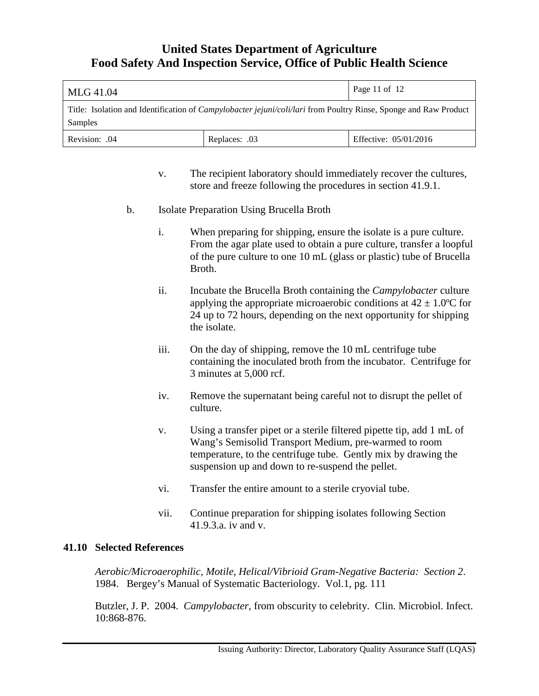| MLG 41.04                                                                                                                          |  | Page 11 of 12 |
|------------------------------------------------------------------------------------------------------------------------------------|--|---------------|
| Title: Isolation and Identification of <i>Campylobacter jejuni/coli/lari</i> from Poultry Rinse, Sponge and Raw Product<br>Samples |  |               |
| Effective: 05/01/2016<br>Revision: .04<br>Replaces: .03                                                                            |  |               |

- v. The recipient laboratory should immediately recover the cultures, store and freeze following the procedures in section 41.9.1.
- b. Isolate Preparation Using Brucella Broth
	- i. When preparing for shipping, ensure the isolate is a pure culture. From the agar plate used to obtain a pure culture, transfer a loopful of the pure culture to one 10 mL (glass or plastic) tube of Brucella Broth.
	- ii. Incubate the Brucella Broth containing the *Campylobacter* culture applying the appropriate microaerobic conditions at  $42 \pm 1.0^{\circ}$ C for 24 up to 72 hours, depending on the next opportunity for shipping the isolate.
	- iii. On the day of shipping, remove the 10 mL centrifuge tube containing the inoculated broth from the incubator. Centrifuge for 3 minutes at 5,000 rcf.
	- iv. Remove the supernatant being careful not to disrupt the pellet of culture.
	- v. Using a transfer pipet or a sterile filtered pipette tip, add 1 mL of Wang's Semisolid Transport Medium, pre-warmed to room temperature, to the centrifuge tube. Gently mix by drawing the suspension up and down to re-suspend the pellet.
	- vi. Transfer the entire amount to a sterile cryovial tube.
	- vii. Continue preparation for shipping isolates following Section 41.9.3.a. iv and v.

## **41.10 Selected References**

*Aerobic/Microaerophilic, Motile, Helical/Vibrioid Gram-Negative Bacteria: Section 2*. 1984. Bergey's Manual of Systematic Bacteriology. Vol.1, pg. 111

Butzler, J. P. 2004. *Campylobacter*, from obscurity to celebrity. Clin. Microbiol. Infect. 10:868-876.